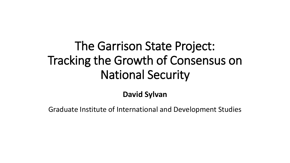# The Garrison State Project: Tracking the Growth of Consensus on National Security

#### **David Sylvan**

Graduate Institute of International and Development Studies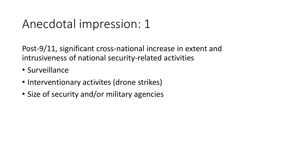## Anecdotal impression: 1

Post-9/11, significant cross-national increase in extent and intrusiveness of national security-related activities

- Surveillance
- Interventionary activites (drone strikes)
- Size of security and/or military agencies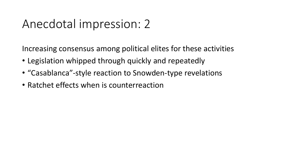## Anecdotal impression: 2

Increasing consensus among political elites for these activities

- Legislation whipped through quickly and repeatedly
- "Casablanca"-style reaction to Snowden-type revelations
- Ratchet effects when is counterreaction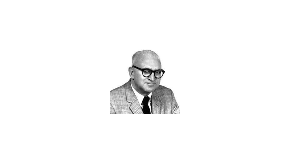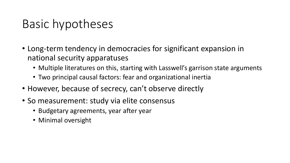# Basic hypotheses

- Long-term tendency in democracies for significant expansion in national security apparatuses
	- Multiple literatures on this, starting with Lasswell's garrison state arguments
	- Two principal causal factors: fear and organizational inertia
- However, because of secrecy, can't observe directly
- So measurement: study via elite consensus
	- Budgetary agreements, year after year
	- Minimal oversight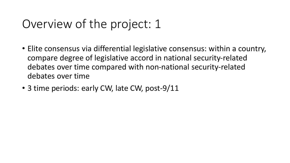# Overview of the project: 1

- Elite consensus via differential legislative consensus: within a country, compare degree of legislative accord in national security-related debates over time compared with non-national security-related debates over time
- 3 time periods: early CW, late CW, post-9/11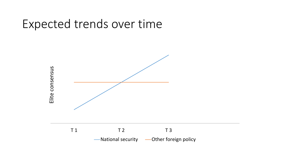#### Expected trends over time

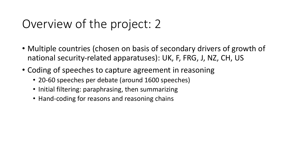# Overview of the project: 2

- Multiple countries (chosen on basis of secondary drivers of growth of national security-related apparatuses): UK, F, FRG, J, NZ, CH, US
- Coding of speeches to capture agreement in reasoning
	- 20-60 speeches per debate (around 1600 speeches)
	- Initial filtering: paraphrasing, then summarizing
	- Hand-coding for reasons and reasoning chains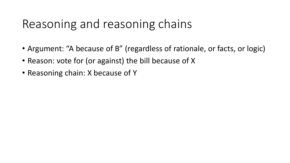# Reasoning and reasoning chains

- Argument: "A because of B" (regardless of rationale, or facts, or logic)
- Reason: vote for (or against) the bill because of X
- Reasoning chain: X because of Y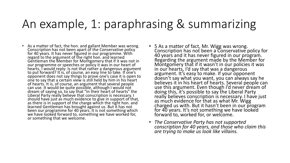#### An example, 1: paraphrasing & summarizing

- As a matter of fact, the hon. and gallant Member was wrong. Conscription has not been apart of the Conservative policy for 40 years. It has never figured in our programme. With regard to the argument of the right hon. and learned Gentleman the Member for Montgomery that if it was not in our programme or speeches or policy it was in our heart of hearts, I would reply: Is not that rather a dangerous argument to put forward? It is, of course, an easy line to take. If one's opponent does not say things to prove one's case it is open to one to say that a certain view is still held by him in his heart of hearts. It is, of course, an argument that several people can use. It would be quite possible, although I would not dream of saying so, to say that "in their heart of hearts" the Liberal Party really believe that conscription is necessary. I should have just as much evidence to give in support of that, as there is in support of the charge which the right hon. and learned Gentleman has brought against us. But it has not been our programme for 40 years. It is not something which we have looked forward to, something we have worked for, or something that we welcome.
- 5 As a matter of fact, Mr. Wigg was wrong. Conscription has not been a Conservative policy for 40 years and it has never figured in our program. Regarding the argument made by the Member for Montgomery that if it wasn't in our policies it was in our hearts, I'd say that was a dangerous argument. It's easy to make. If your opponent doesn't say what you want, you can always say he believes it in his heart of hearts. Several people can use this argument. Even though I'd never dream of doing this, it's possible to say the Liberal Party really believes conscription is necessary. I have just as much evidence for that as what Mr. Wigg charged us with. But it hasn't been in our program for 40 years. It's not something we have looked forward to, worked for, or welcome.
- *The Conservative Party has not supported conscription for 40 years, and those who claim this are trying to make us look like villains.*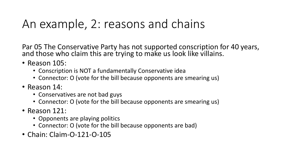## An example, 2: reasons and chains

Par 05 The Conservative Party has not supported conscription for 40 years, and those who claim this are trying to make us look like villains.

- Reason 105:
	- Conscription is NOT a fundamentally Conservative idea
	- Connector: O (vote for the bill because opponents are smearing us)
- Reason 14:
	- Conservatives are not bad guys
	- Connector: O (vote for the bill because opponents are smearing us)
- Reason 121:
	- Opponents are playing politics
	- Connector: O (vote for the bill because opponents are bad)
- Chain: Claim-O-121-O-105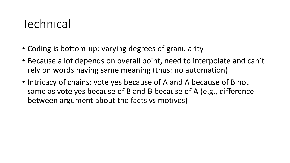## Technical

- Coding is bottom-up: varying degrees of granularity
- Because a lot depends on overall point, need to interpolate and can't rely on words having same meaning (thus: no automation)
- Intricacy of chains: vote yes because of A and A because of B not same as vote yes because of B and B because of A (e.g., difference between argument about the facts vs motives)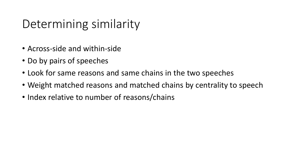# Determining similarity

- Across-side and within-side
- Do by pairs of speeches
- Look for same reasons and same chains in the two speeches
- Weight matched reasons and matched chains by centrality to speech
- Index relative to number of reasons/chains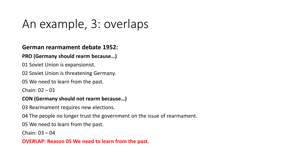## An example, 3: overlaps

#### **German rearmament debate 1952:**

#### **PRO (Germany should rearm because…)**

01 Soviet Union is expansionist.

02 Soviet Union is threatening Germany.

05 We need to learn from the past.

Chain: 02 – 01

#### **CON (Germany should not rearm because…)**

03 Rearmament requires new elections.

04 The people no longer trust the government on the issue of rearmament.

05 We need to learn from the past.

Chain: 03 – 04

#### **OVERLAP: Reason 05 We need to learn from the past.**